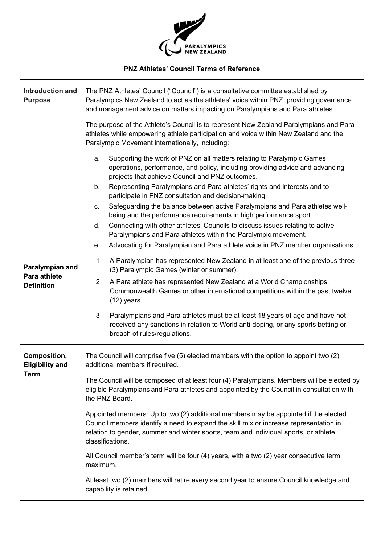

## **PNZ Athletes' Council Terms of Reference**

 $\overline{\phantom{a}}$ 

| <b>Introduction and</b><br><b>Purpose</b>             | The PNZ Athletes' Council ("Council") is a consultative committee established by<br>Paralympics New Zealand to act as the athletes' voice within PNZ, providing governance<br>and management advice on matters impacting on Paralympians and Para athletes.<br>The purpose of the Athlete's Council is to represent New Zealand Paralympians and Para<br>athletes while empowering athlete participation and voice within New Zealand and the<br>Paralympic Movement internationally, including: |
|-------------------------------------------------------|--------------------------------------------------------------------------------------------------------------------------------------------------------------------------------------------------------------------------------------------------------------------------------------------------------------------------------------------------------------------------------------------------------------------------------------------------------------------------------------------------|
|                                                       | Supporting the work of PNZ on all matters relating to Paralympic Games<br>a.<br>operations, performance, and policy, including providing advice and advancing<br>projects that achieve Council and PNZ outcomes.                                                                                                                                                                                                                                                                                 |
|                                                       | Representing Paralympians and Para athletes' rights and interests and to<br>b.<br>participate in PNZ consultation and decision-making.                                                                                                                                                                                                                                                                                                                                                           |
|                                                       | Safeguarding the balance between active Paralympians and Para athletes well-<br>C.<br>being and the performance requirements in high performance sport.<br>Connecting with other athletes' Councils to discuss issues relating to active<br>d.                                                                                                                                                                                                                                                   |
|                                                       | Paralympians and Para athletes within the Paralympic movement.                                                                                                                                                                                                                                                                                                                                                                                                                                   |
|                                                       | Advocating for Paralympian and Para athlete voice in PNZ member organisations.<br>е.                                                                                                                                                                                                                                                                                                                                                                                                             |
| Paralympian and<br>Para athlete<br><b>Definition</b>  | $\mathbf 1$<br>A Paralympian has represented New Zealand in at least one of the previous three<br>(3) Paralympic Games (winter or summer).                                                                                                                                                                                                                                                                                                                                                       |
|                                                       | A Para athlete has represented New Zealand at a World Championships,<br>2<br>Commonwealth Games or other international competitions within the past twelve<br>$(12)$ years.                                                                                                                                                                                                                                                                                                                      |
|                                                       | 3<br>Paralympians and Para athletes must be at least 18 years of age and have not<br>received any sanctions in relation to World anti-doping, or any sports betting or<br>breach of rules/regulations.                                                                                                                                                                                                                                                                                           |
| Composition,<br><b>Eligibility and</b><br><b>Term</b> | The Council will comprise five (5) elected members with the option to appoint two (2)<br>additional members if required.                                                                                                                                                                                                                                                                                                                                                                         |
|                                                       | The Council will be composed of at least four (4) Paralympians. Members will be elected by<br>eligible Paralympians and Para athletes and appointed by the Council in consultation with<br>the PNZ Board.                                                                                                                                                                                                                                                                                        |
|                                                       | Appointed members: Up to two (2) additional members may be appointed if the elected<br>Council members identify a need to expand the skill mix or increase representation in<br>relation to gender, summer and winter sports, team and individual sports, or athlete<br>classifications.                                                                                                                                                                                                         |
|                                                       | All Council member's term will be four (4) years, with a two (2) year consecutive term<br>maximum.                                                                                                                                                                                                                                                                                                                                                                                               |
|                                                       | At least two (2) members will retire every second year to ensure Council knowledge and<br>capability is retained.                                                                                                                                                                                                                                                                                                                                                                                |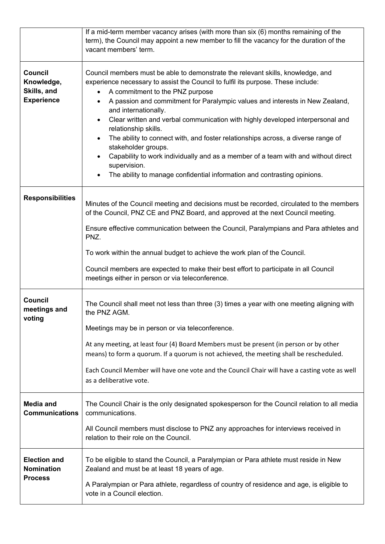|                                                            | If a mid-term member vacancy arises (with more than six (6) months remaining of the<br>term), the Council may appoint a new member to fill the vacancy for the duration of the<br>vacant members' term.                                                                                                                                                                                                                                                                                                                                                                                                                                                                                                                                                     |
|------------------------------------------------------------|-------------------------------------------------------------------------------------------------------------------------------------------------------------------------------------------------------------------------------------------------------------------------------------------------------------------------------------------------------------------------------------------------------------------------------------------------------------------------------------------------------------------------------------------------------------------------------------------------------------------------------------------------------------------------------------------------------------------------------------------------------------|
| Council<br>Knowledge,<br>Skills, and<br><b>Experience</b>  | Council members must be able to demonstrate the relevant skills, knowledge, and<br>experience necessary to assist the Council to fulfil its purpose. These include:<br>A commitment to the PNZ purpose<br>A passion and commitment for Paralympic values and interests in New Zealand,<br>$\bullet$<br>and internationally.<br>Clear written and verbal communication with highly developed interpersonal and<br>$\bullet$<br>relationship skills.<br>The ability to connect with, and foster relationships across, a diverse range of<br>stakeholder groups.<br>Capability to work individually and as a member of a team with and without direct<br>supervision.<br>The ability to manage confidential information and contrasting opinions.<br>$\bullet$ |
| <b>Responsibilities</b>                                    | Minutes of the Council meeting and decisions must be recorded, circulated to the members<br>of the Council, PNZ CE and PNZ Board, and approved at the next Council meeting.<br>Ensure effective communication between the Council, Paralympians and Para athletes and<br>PNZ.<br>To work within the annual budget to achieve the work plan of the Council.<br>Council members are expected to make their best effort to participate in all Council<br>meetings either in person or via teleconference.                                                                                                                                                                                                                                                      |
| <b>Council</b><br>meetings and<br>voting                   | The Council shall meet not less than three (3) times a year with one meeting aligning with<br>the PNZ AGM.<br>Meetings may be in person or via teleconference.<br>At any meeting, at least four (4) Board Members must be present (in person or by other<br>means) to form a quorum. If a quorum is not achieved, the meeting shall be rescheduled.<br>Each Council Member will have one vote and the Council Chair will have a casting vote as well<br>as a deliberative vote.                                                                                                                                                                                                                                                                             |
| <b>Media and</b><br><b>Communications</b>                  | The Council Chair is the only designated spokesperson for the Council relation to all media<br>communications.<br>All Council members must disclose to PNZ any approaches for interviews received in<br>relation to their role on the Council.                                                                                                                                                                                                                                                                                                                                                                                                                                                                                                              |
| <b>Election and</b><br><b>Nomination</b><br><b>Process</b> | To be eligible to stand the Council, a Paralympian or Para athlete must reside in New<br>Zealand and must be at least 18 years of age.<br>A Paralympian or Para athlete, regardless of country of residence and age, is eligible to<br>vote in a Council election.                                                                                                                                                                                                                                                                                                                                                                                                                                                                                          |